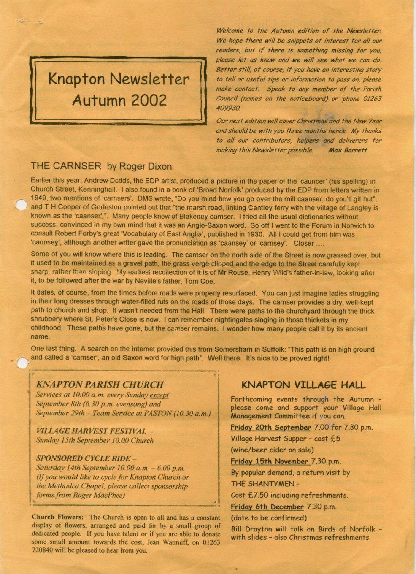# **Knapton Newsletter** Autumn 2002

Welcome to the Autumn edition of the Newsletter. We hope there will be snippets of interest for all our readers, but if there is something missing for you, please let us know and we will see what we can do. Better still, of course, if you have an interesting story to tell or useful tips or information to pass on, please make contact. Speak to any member of the Parish Council (names on the noticeboard) or 'phone 01263 409930.

Our next edition will cover Christmas and the New Year and should be with you three months hence. My thanks to all our contributors, helpers and deliverers for making this Newsletter possible. **Max Barrett** 

### THE CARNSER by Roger Dixon

Earlier this year, Andrew Dodds, the EDP artist, produced a picture in the paper of the 'cauncer' (his spelling) in Church Street, Kenninghall. I also found in a book of 'Broad Norfolk' produced by the EDP from letters written in 1949, two mentions of 'carnsers'. DMS wrote, "Do you mind how you go over the mill caanser, do you'll git hut", and T H Cooper of Gorleston pointed out that "the marsh road, linking Cantley ferry with the village of Langley is known as the 'caanser'.". Many people know of Blakeney carnser. I tried all the usual dictionaries without success, convinced in my own mind that it was an Anglo-Saxon word. So off I went to the Forum in Norwich to consult Robert Forby's great 'Vocabulary of East Anglia', published in 1930. All I could get from him was 'caunsey', although another writer gave the pronunciation as 'caansey' or 'carnsey'. Closer ....

Some of you will know where this is leading. The carnser on the north side of the Street is now grassed over, but it used to be maintained as a gravel path, the grass verge clipped and the edge to the Street carefully kept sharp, rather than sloping. My earliest recollection of it is of Mr Rouse, Henry Wild's father-in-law, looking after it, to be followed after the war by Neville's father, Tom Coe.

It dates, of course, from the times before roads were properly resurfaced. You can just imagine ladies struggling in their long dresses through water-filled ruts on the roads of those days. The carnser provides a dry, well-kept path to church and shop. It wasn't needed from the Hall. There were paths to the churchyard through the thick shrubbery where St. Peter's Close is now. I can remember nightingales singing in those thickets in my childhood. These paths have gone, but the carnser remains. I wonder how many people call it by its ancient name.

One last thing. A search on the internet provided this from Somersham in Suffolk: "This path is on high ground and called a 'carnser', an old Saxon word for high path". Well there. It's nice to be proved right!

#### **KNAPTON PARISH CHURCH**

Services at 10.00 a.m. every Sunday except September 8th (6.30 p.m. evensong) and September 29th - Team Service at PASTON (10.30 a.m.)

**VILLAGE HARVEST FESTIVAL -**Sunday 15th September 10.00 Church

#### **SPONSORED CYCLE RIDE -**

Saturday 14th September 10.00 a.m. - 6.00 p.m. (If you would like to cycle for Knapton Church or the Methodist Chapel, please collect sponsorship forms from Roger MacPhee)

Church Flowers: The Church is open to all and has a constant display of flowers, arranged and paid for by a small group of dedicated people. If you have talent or if you are able to donate some small amount towards the cost, Jean Watmuff, on 01263 720840 will be pleased to hear from you.

#### **KNAPTON VILLAGE HALL**

Forthcoming events through the Autumn please come and support your Village Hall Management Committee if you can.

Friday 20th September 7.00 for 7.30 p.m.

Village Harvest Supper - cost £5

(wine/beer cider on sale)

Friday 15th November 7.30 p.m.

By popular demand, a return visit by THE SHANTYMEN-

Cost £7.50 including refreshments.

Friday 6th December 7.30 p.m.

(date to be confirmed)

Bill Drayton will talk on Birds of Norfolk with slides - also Christmas refreshments